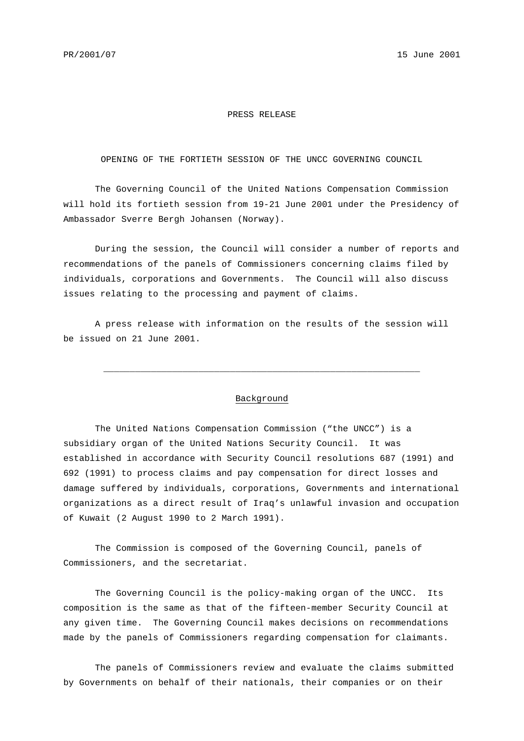## PRESS RELEASE

OPENING OF THE FORTIETH SESSION OF THE UNCC GOVERNING COUNCIL

The Governing Council of the United Nations Compensation Commission will hold its fortieth session from 19-21 June 2001 under the Presidency of Ambassador Sverre Bergh Johansen (Norway).

During the session, the Council will consider a number of reports and recommendations of the panels of Commissioners concerning claims filed by individuals, corporations and Governments. The Council will also discuss issues relating to the processing and payment of claims.

A press release with information on the results of the session will be issued on 21 June 2001.

## Background

\_\_\_\_\_\_\_\_\_\_\_\_\_\_\_\_\_\_\_\_\_\_\_\_\_\_\_\_\_\_\_\_\_\_\_\_\_\_\_\_\_\_\_\_\_\_\_\_\_\_\_\_\_\_\_\_\_\_\_\_

The United Nations Compensation Commission ("the UNCC") is a subsidiary organ of the United Nations Security Council. It was established in accordance with Security Council resolutions 687 (1991) and 692 (1991) to process claims and pay compensation for direct losses and damage suffered by individuals, corporations, Governments and international organizations as a direct result of Iraq's unlawful invasion and occupation of Kuwait (2 August 1990 to 2 March 1991).

The Commission is composed of the Governing Council, panels of Commissioners, and the secretariat.

The Governing Council is the policy-making organ of the UNCC. Its composition is the same as that of the fifteen-member Security Council at any given time. The Governing Council makes decisions on recommendations made by the panels of Commissioners regarding compensation for claimants.

The panels of Commissioners review and evaluate the claims submitted by Governments on behalf of their nationals, their companies or on their